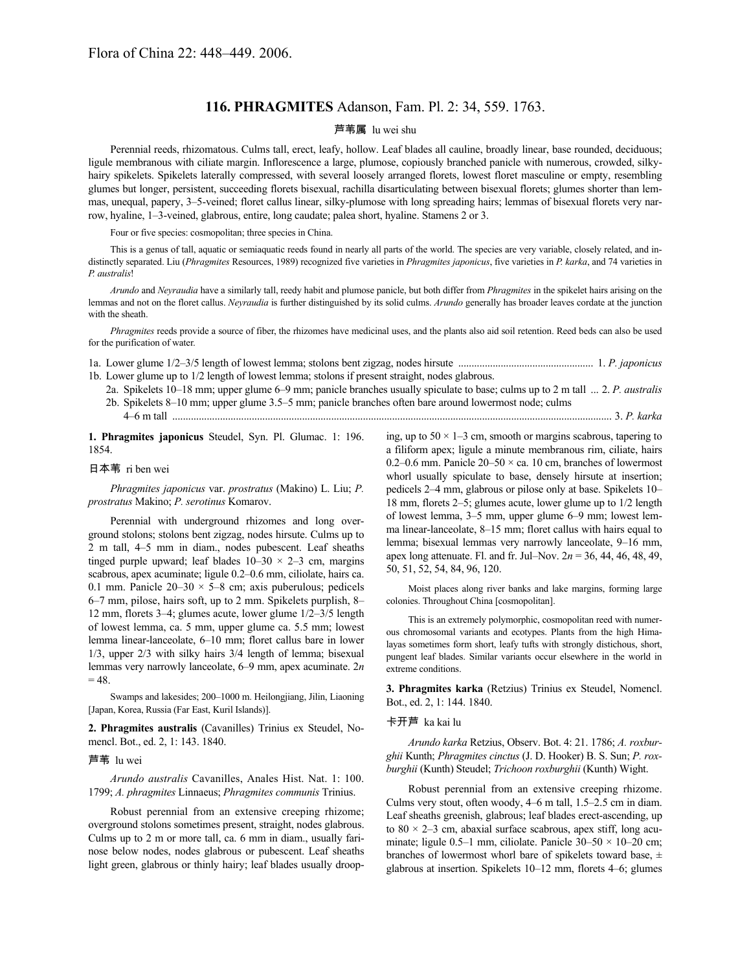# **116. PHRAGMITES** Adanson, Fam. Pl. 2: 34, 559. 1763.

## 芦苇属 lu wei shu

Perennial reeds, rhizomatous. Culms tall, erect, leafy, hollow. Leaf blades all cauline, broadly linear, base rounded, deciduous; ligule membranous with ciliate margin. Inflorescence a large, plumose, copiously branched panicle with numerous, crowded, silkyhairy spikelets. Spikelets laterally compressed, with several loosely arranged florets, lowest floret masculine or empty, resembling glumes but longer, persistent, succeeding florets bisexual, rachilla disarticulating between bisexual florets; glumes shorter than lemmas, unequal, papery, 3–5-veined; floret callus linear, silky-plumose with long spreading hairs; lemmas of bisexual florets very narrow, hyaline, 1–3-veined, glabrous, entire, long caudate; palea short, hyaline. Stamens 2 or 3.

Four or five species: cosmopolitan; three species in China.

This is a genus of tall, aquatic or semiaquatic reeds found in nearly all parts of the world. The species are very variable, closely related, and indistinctly separated. Liu (*Phragmites* Resources, 1989) recognized five varieties in *Phragmites japonicus*, five varieties in *P. karka*, and 74 varieties in *P. australis*!

*Arundo* and *Neyraudia* have a similarly tall, reedy habit and plumose panicle, but both differ from *Phragmites* in the spikelet hairs arising on the lemmas and not on the floret callus. *Neyraudia* is further distinguished by its solid culms. *Arundo* generally has broader leaves cordate at the junction with the sheath.

*Phragmites* reeds provide a source of fiber, the rhizomes have medicinal uses, and the plants also aid soil retention. Reed beds can also be used for the purification of water.

- 1a. Lower glume 1/2–3/5 length of lowest lemma; stolons bent zigzag, nodes hirsute ................................................... 1. *P. japonicus* 1b. Lower glume up to 1/2 length of lowest lemma; stolons if present straight, nodes glabrous.
	- 2a. Spikelets 10–18 mm; upper glume 6–9 mm; panicle branches usually spiculate to base; culms up to 2 m tall ... 2. *P. australis* 2b. Spikelets 8–10 mm; upper glume 3.5–5 mm; panicle branches often bare around lowermost node; culms 4–6 m tall ...................................................................................................................................................................... 3. *P. karka*

**1. Phragmites japonicus** Steudel, Syn. Pl. Glumac. 1: 196. 1854.

#### 日本苇 ri ben wei

*Phragmites japonicus* var. *prostratus* (Makino) L. Liu; *P. prostratus* Makino; *P. serotinus* Komarov.

Perennial with underground rhizomes and long overground stolons; stolons bent zigzag, nodes hirsute. Culms up to 2 m tall, 4–5 mm in diam., nodes pubescent. Leaf sheaths tinged purple upward; leaf blades  $10-30 \times 2-3$  cm, margins scabrous, apex acuminate; ligule 0.2–0.6 mm, ciliolate, hairs ca. 0.1 mm. Panicle  $20-30 \times 5-8$  cm; axis puberulous; pedicels 6–7 mm, pilose, hairs soft, up to 2 mm. Spikelets purplish, 8– 12 mm, florets 3–4; glumes acute, lower glume 1/2–3/5 length of lowest lemma, ca. 5 mm, upper glume ca. 5.5 mm; lowest lemma linear-lanceolate, 6–10 mm; floret callus bare in lower 1/3, upper 2/3 with silky hairs 3/4 length of lemma; bisexual lemmas very narrowly lanceolate, 6–9 mm, apex acuminate. 2*n*  $= 48.$ 

Swamps and lakesides; 200–1000 m. Heilongjiang, Jilin, Liaoning [Japan, Korea, Russia (Far East, Kuril Islands)].

**2. Phragmites australis** (Cavanilles) Trinius ex Steudel, Nomencl. Bot., ed. 2, 1: 143. 1840.

### 芦苇 lu wei

*Arundo australis* Cavanilles, Anales Hist. Nat. 1: 100. 1799; *A. phragmites* Linnaeus; *Phragmites communis* Trinius.

Robust perennial from an extensive creeping rhizome; overground stolons sometimes present, straight, nodes glabrous. Culms up to 2 m or more tall, ca. 6 mm in diam., usually farinose below nodes, nodes glabrous or pubescent. Leaf sheaths light green, glabrous or thinly hairy; leaf blades usually drooping, up to  $50 \times 1-3$  cm, smooth or margins scabrous, tapering to a filiform apex; ligule a minute membranous rim, ciliate, hairs 0.2–0.6 mm. Panicle  $20-50 \times$  ca. 10 cm, branches of lowermost whorl usually spiculate to base, densely hirsute at insertion; pedicels 2–4 mm, glabrous or pilose only at base. Spikelets 10– 18 mm, florets 2–5; glumes acute, lower glume up to 1/2 length of lowest lemma, 3–5 mm, upper glume 6–9 mm; lowest lemma linear-lanceolate, 8–15 mm; floret callus with hairs equal to lemma; bisexual lemmas very narrowly lanceolate, 9–16 mm, apex long attenuate. Fl. and fr. Jul–Nov. 2*n* = 36, 44, 46, 48, 49, 50, 51, 52, 54, 84, 96, 120.

Moist places along river banks and lake margins, forming large colonies. Throughout China [cosmopolitan].

This is an extremely polymorphic, cosmopolitan reed with numerous chromosomal variants and ecotypes. Plants from the high Himalayas sometimes form short, leafy tufts with strongly distichous, short, pungent leaf blades. Similar variants occur elsewhere in the world in extreme conditions.

**3. Phragmites karka** (Retzius) Trinius ex Steudel, Nomencl. Bot., ed. 2, 1: 144. 1840.

### 卡开芦 ka kai lu

*Arundo karka* Retzius, Observ. Bot. 4: 21. 1786; *A. roxburghii* Kunth; *Phragmites cinctus* (J. D. Hooker) B. S. Sun; *P. roxburghii* (Kunth) Steudel; *Trichoon roxburghii* (Kunth) Wight.

Robust perennial from an extensive creeping rhizome. Culms very stout, often woody, 4–6 m tall, 1.5–2.5 cm in diam. Leaf sheaths greenish, glabrous; leaf blades erect-ascending, up to  $80 \times 2 - 3$  cm, abaxial surface scabrous, apex stiff, long acuminate; ligule 0.5–1 mm, ciliolate. Panicle  $30-50 \times 10-20$  cm; branches of lowermost whorl bare of spikelets toward base, ± glabrous at insertion. Spikelets 10–12 mm, florets 4–6; glumes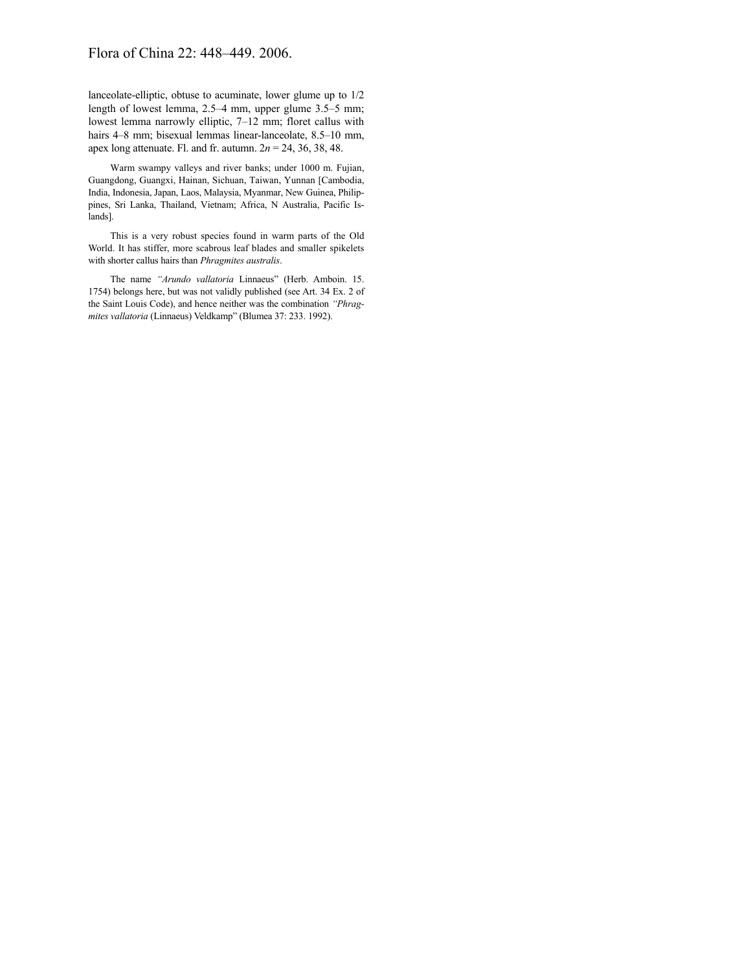## Flora of China 22: 448–449. 2006.

lanceolate-elliptic, obtuse to acuminate, lower glume up to 1/2 length of lowest lemma, 2.5–4 mm, upper glume 3.5–5 mm; lowest lemma narrowly elliptic, 7–12 mm; floret callus with hairs 4–8 mm; bisexual lemmas linear-lanceolate, 8.5–10 mm, apex long attenuate. Fl. and fr. autumn. 2*n* = 24, 36, 38, 48.

Warm swampy valleys and river banks; under 1000 m. Fujian, Guangdong, Guangxi, Hainan, Sichuan, Taiwan, Yunnan [Cambodia, India, Indonesia, Japan, Laos, Malaysia, Myanmar, New Guinea, Philippines, Sri Lanka, Thailand, Vietnam; Africa, N Australia, Pacific Islands].

This is a very robust species found in warm parts of the Old World. It has stiffer, more scabrous leaf blades and smaller spikelets with shorter callus hairs than *Phragmites australis*.

The name *"Arundo vallatoria* Linnaeus" (Herb. Amboin. 15. 1754) belongs here, but was not validly published (see Art. 34 Ex. 2 of the Saint Louis Code), and hence neither was the combination *"Phragmites vallatoria* (Linnaeus) Veldkamp" (Blumea 37: 233. 1992).